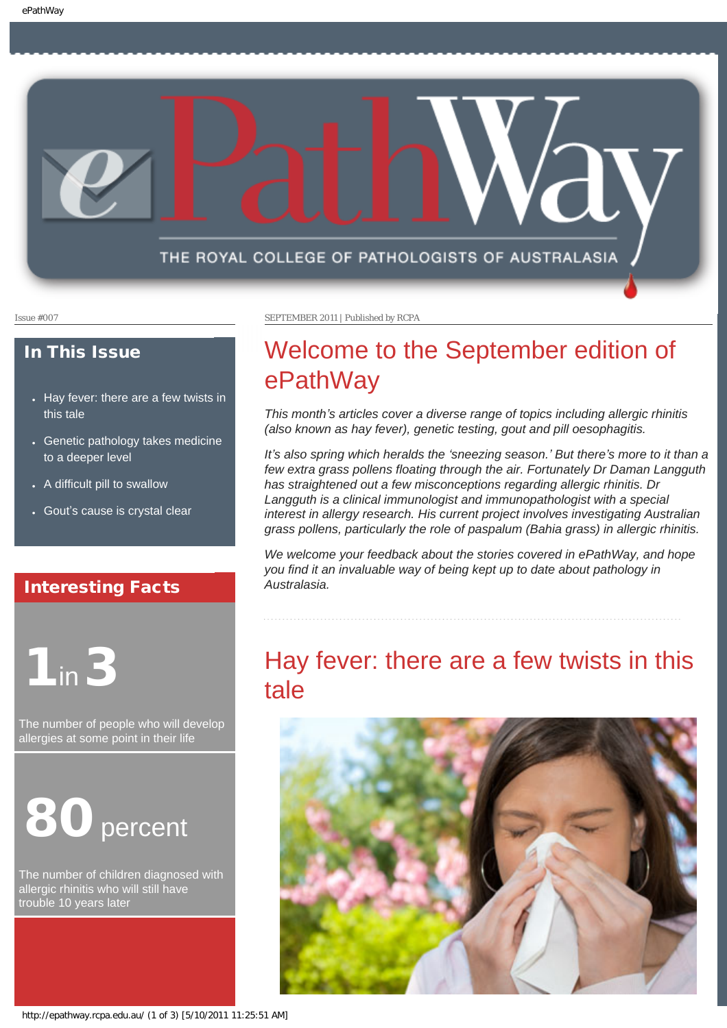

#### In This Issue

- Hay fever: there are a few twists in [this tale](#page-0-0)
- Genetic pathology takes medicine [to a deeper level](#page-1-0)
- [A difficult pill to swallow](#page-1-1)
- Gout'[s cause is crystal clear](#page-1-2)

#### Interesting Facts

<span id="page-0-0"></span>

The number of people who will develop allergies at some point in their life



The number of children diagnosed with allergic rhinitis who will still have trouble 10 years later

Issue #007 SEPTEMBER 2011 | Published by RCPA

## Welcome to the September edition of ePathWay

*This month's articles cover a diverse range of topics including allergic rhinitis (also known as hay fever), genetic testing, gout and pill oesophagitis.*

*It's also spring which heralds the 'sneezing season.' But there's more to it than a few extra grass pollens floating through the air. Fortunately Dr Daman Langguth has straightened out a few misconceptions regarding allergic rhinitis. Dr Langguth is a clinical immunologist and immunopathologist with a special interest in allergy research. His current project involves investigating Australian grass pollens, particularly the role of paspalum (Bahia grass) in allergic rhinitis.* 

*We welcome your feedback about the stories covered in ePathWay, and hope you find it an invaluable way of being kept up to date about pathology in Australasia.*

## Hay fever: there are a few twists in this tale

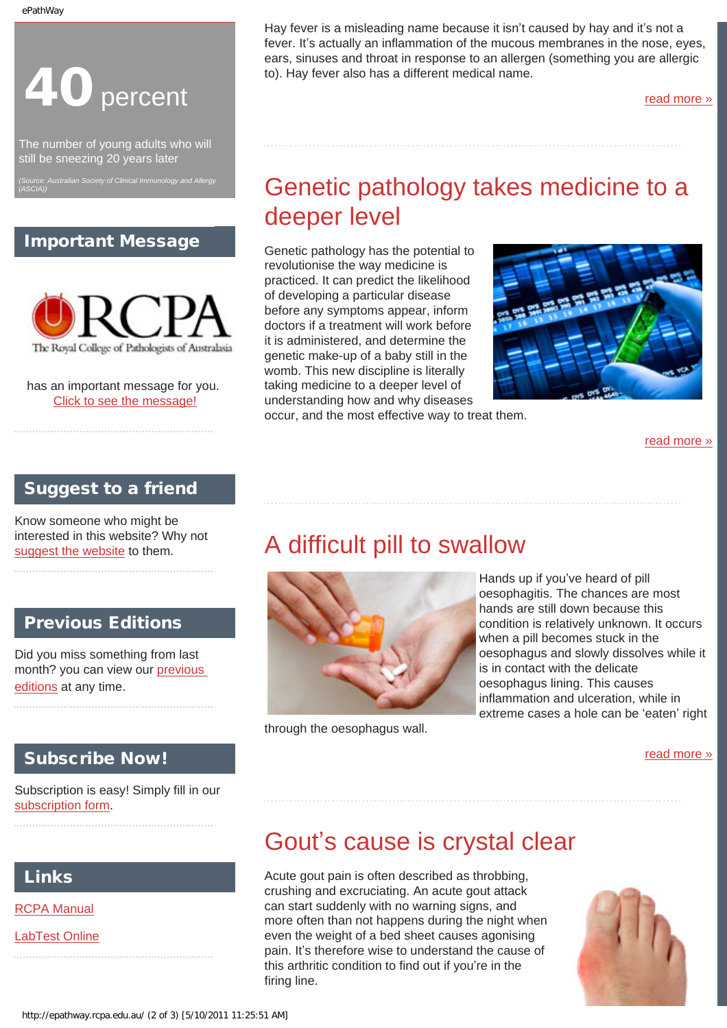

The number of young adults who will still be sneezing 20 years later

<span id="page-1-0"></span>*(Source: Australian Society of Clinical Immunology and Allergy (ASCIA))*

### Important Message



has an important message for you. [Click to see the message!](http://epathway.rcpa.edu.au/notice.html)

Hay fever is a misleading name because it isn't caused by hay and it's not a fever. It's actually an inflammation of the mucous membranes in the nose, eyes, ears, sinuses and throat in response to an allergen (something you are allergic to). Hay fever also has a different medical name.

[read more »](#page-2-0)

# Genetic pathology takes medicine to a deeper level

Genetic pathology has the potential to revolutionise the way medicine is practiced. It can predict the likelihood of developing a particular disease before any symptoms appear, inform doctors if a treatment will work before it is administered, and determine the genetic make-up of a baby still in the womb. This new discipline is literally taking medicine to a deeper level of understanding how and why diseases occur, and the most effective way to treat them.



[read more »](#page-4-0)

#### Suggest to a friend

<span id="page-1-1"></span>Know someone who might be interested in this website? Why not [suggest the website](mailto:?Subject=I%20think%20you%20should%20read%20this%20Newsletter=
http://epathway.rcpa.edu.au/index.html) to them.

### Previous Editions

Did you miss something from last month? you can view our [previous](http://epathway.rcpa.edu.au/previous.html) [editions](http://epathway.rcpa.edu.au/previous.html) at any time.

#### Subscribe Now!

Subscription is easy! Simply fill in our [subscription form.](http://epathway.rcpa.edu.au/subscription.html)

### <span id="page-1-2"></span>Links

[RCPA Manual](http://rcpamanual.edu.au/)

[LabTest Online](http://www.labtestsonline.org.au/)

## A difficult pill to swallow



through the oesophagus wall.

Hands up if you've heard of pill oesophagitis. The chances are most hands are still down because this condition is relatively unknown. It occurs when a pill becomes stuck in the oesophagus and slowly dissolves while it is in contact with the delicate oesophagus lining. This causes inflammation and ulceration, while in extreme cases a hole can be 'eaten' right

[read more »](#page-6-0)

## Gout's cause is crystal clear

Acute gout pain is often described as throbbing, crushing and excruciating. An acute gout attack can start suddenly with no warning signs, and more often than not happens during the night when even the weight of a bed sheet causes agonising pain. It's therefore wise to understand the cause of this arthritic condition to find out if you're in the firing line.

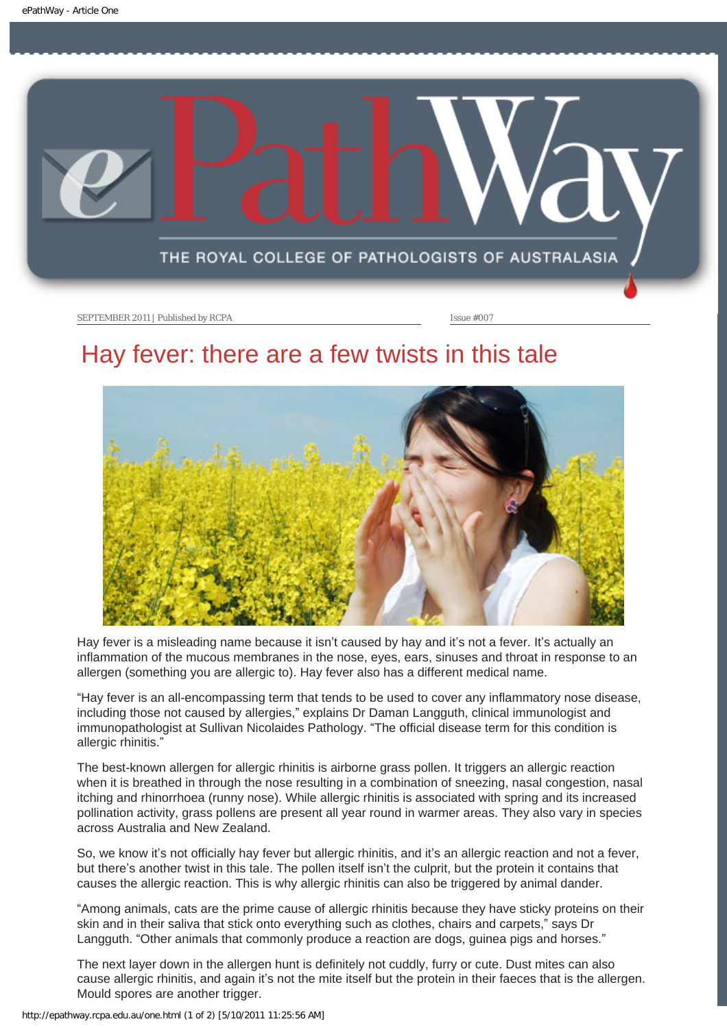<span id="page-2-0"></span>

### Hay fever: there are a few twists in this tale



Hay fever is a misleading name because it isn't caused by hay and it's not a fever. It's actually an inflammation of the mucous membranes in the nose, eyes, ears, sinuses and throat in response to an allergen (something you are allergic to). Hay fever also has a different medical name.

"Hay fever is an all-encompassing term that tends to be used to cover any inflammatory nose disease, including those not caused by allergies," explains Dr Daman Langguth, clinical immunologist and immunopathologist at Sullivan Nicolaides Pathology. "The official disease term for this condition is allergic rhinitis."

The best-known allergen for allergic rhinitis is airborne grass pollen. It triggers an allergic reaction when it is breathed in through the nose resulting in a combination of sneezing, nasal congestion, nasal itching and rhinorrhoea (runny nose). While allergic rhinitis is associated with spring and its increased pollination activity, grass pollens are present all year round in warmer areas. They also vary in species across Australia and New Zealand.

So, we know it's not officially hay fever but allergic rhinitis, and it's an allergic reaction and not a fever, but there's another twist in this tale. The pollen itself isn't the culprit, but the protein it contains that causes the allergic reaction. This is why allergic rhinitis can also be triggered by animal dander.

"Among animals, cats are the prime cause of allergic rhinitis because they have sticky proteins on their skin and in their saliva that stick onto everything such as clothes, chairs and carpets," says Dr Langguth. "Other animals that commonly produce a reaction are dogs, guinea pigs and horses."

The next layer down in the allergen hunt is definitely not cuddly, furry or cute. Dust mites can also cause allergic rhinitis, and again it's not the mite itself but the protein in their faeces that is the allergen. Mould spores are another trigger.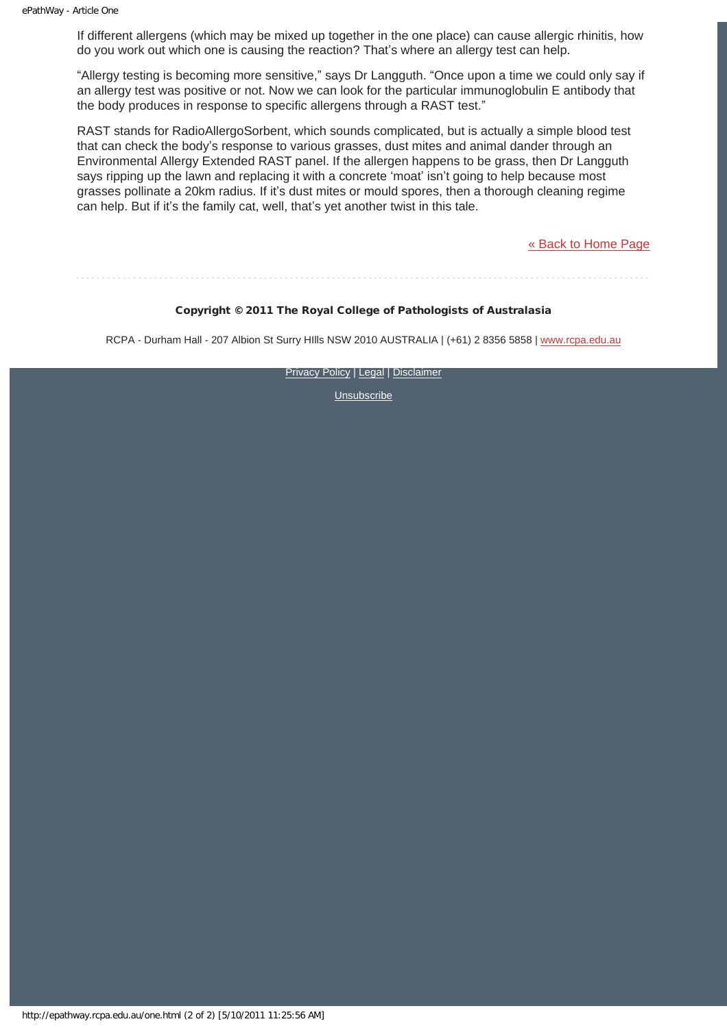If different allergens (which may be mixed up together in the one place) can cause allergic rhinitis, how do you work out which one is causing the reaction? That's where an allergy test can help.

"Allergy testing is becoming more sensitive," says Dr Langguth. "Once upon a time we could only say if an allergy test was positive or not. Now we can look for the particular immunoglobulin E antibody that the body produces in response to specific allergens through a RAST test."

RAST stands for RadioAllergoSorbent, which sounds complicated, but is actually a simple blood test that can check the body's response to various grasses, dust mites and animal dander through an Environmental Allergy Extended RAST panel. If the allergen happens to be grass, then Dr Langguth says ripping up the lawn and replacing it with a concrete 'moat' isn't going to help because most grasses pollinate a 20km radius. If it's dust mites or mould spores, then a thorough cleaning regime can help. But if it's the family cat, well, that's yet another twist in this tale.

[« Back to Home Page](http://epathway.rcpa.edu.au/index.html)

### Copyright © 2011 The Royal College of Pathologists of Australasia

RCPA - Durham Hall - 207 Albion St Surry Hills NSW 2010 AUSTRALIA | (+61) 2 8356 5858 | [www.rcpa.edu.au](http://www.rcpa.edu.au/)

**[Privacy Policy](http://www.rcpa.edu.au/Privacy.htm) | [Legal](http://www.rcpa.edu.au/Legal.htm) | [Disclaimer](http://www.rcpa.edu.au/Disclaimer.htm)**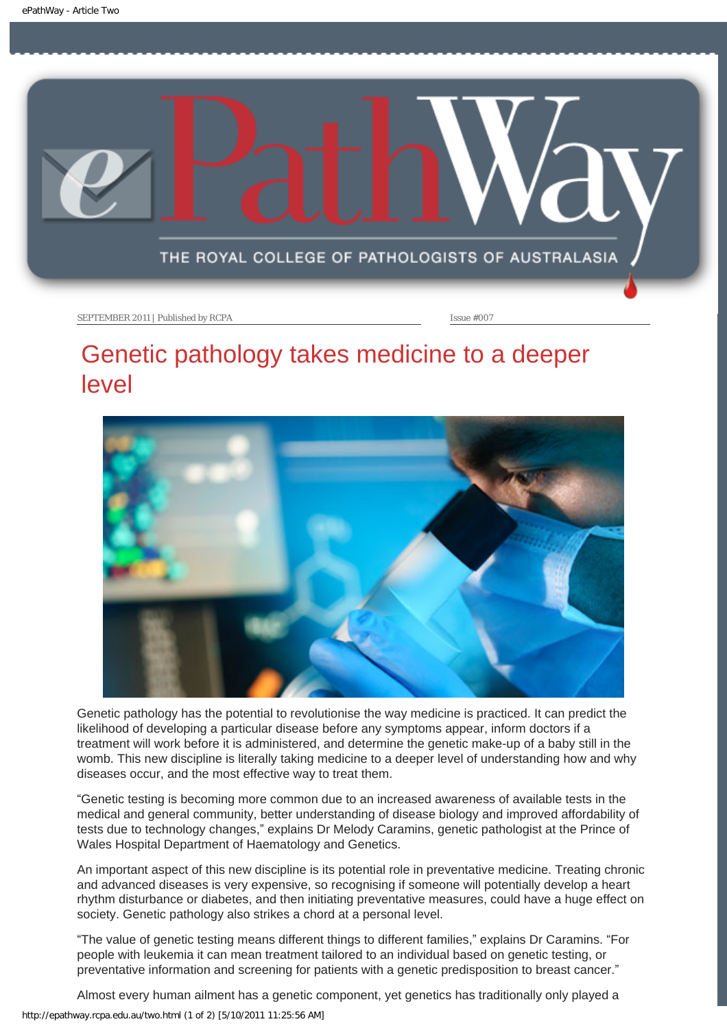<span id="page-4-0"></span>

## Genetic pathology takes medicine to a deeper level



Genetic pathology has the potential to revolutionise the way medicine is practiced. It can predict the likelihood of developing a particular disease before any symptoms appear, inform doctors if a treatment will work before it is administered, and determine the genetic make-up of a baby still in the womb. This new discipline is literally taking medicine to a deeper level of understanding how and why diseases occur, and the most effective way to treat them.

"Genetic testing is becoming more common due to an increased awareness of available tests in the medical and general community, better understanding of disease biology and improved affordability of tests due to technology changes," explains Dr Melody Caramins, genetic pathologist at the Prince of Wales Hospital Department of Haematology and Genetics.

An important aspect of this new discipline is its potential role in preventative medicine. Treating chronic and advanced diseases is very expensive, so recognising if someone will potentially develop a heart rhythm disturbance or diabetes, and then initiating preventative measures, could have a huge effect on society. Genetic pathology also strikes a chord at a personal level.

"The value of genetic testing means different things to different families," explains Dr Caramins. "For people with leukemia it can mean treatment tailored to an individual based on genetic testing, or preventative information and screening for patients with a genetic predisposition to breast cancer."

Almost every human ailment has a genetic component, yet genetics has traditionally only played a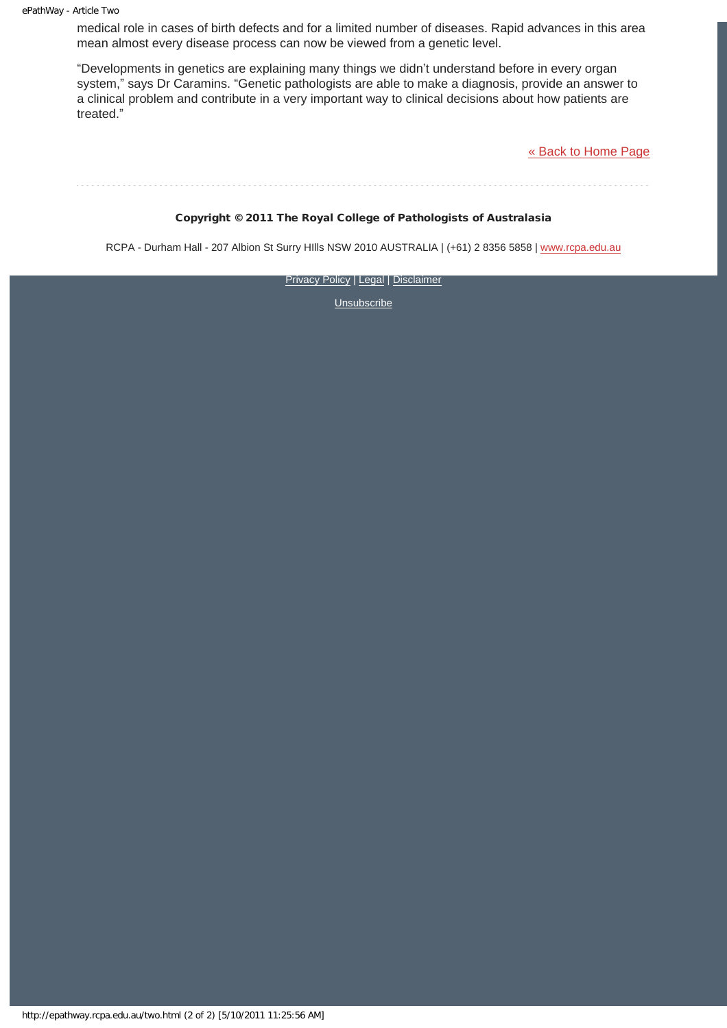medical role in cases of birth defects and for a limited number of diseases. Rapid advances in this area mean almost every disease process can now be viewed from a genetic level.

"Developments in genetics are explaining many things we didn't understand before in every organ system," says Dr Caramins. "Genetic pathologists are able to make a diagnosis, provide an answer to a clinical problem and contribute in a very important way to clinical decisions about how patients are treated."

[« Back to Home Page](http://epathway.rcpa.edu.au/index.html)

#### Copyright © 2011 The Royal College of Pathologists of Australasia

RCPA - Durham Hall - 207 Albion St Surry Hills NSW 2010 AUSTRALIA | (+61) 2 8356 5858 | [www.rcpa.edu.au](http://www.rcpa.edu.au/)

[Privacy Policy](http://www.rcpa.edu.au/Privacy.htm) | [Legal](http://www.rcpa.edu.au/Legal.htm) | [Disclaimer](http://www.rcpa.edu.au/Disclaimer.htm)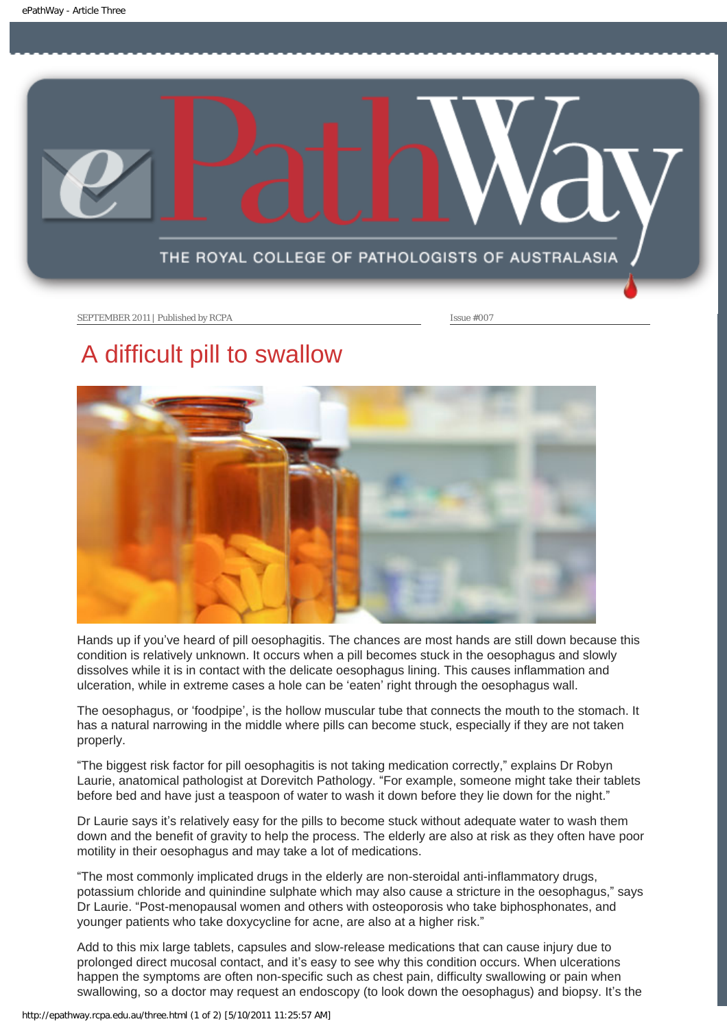<span id="page-6-0"></span>

## A difficult pill to swallow



Hands up if you've heard of pill oesophagitis. The chances are most hands are still down because this condition is relatively unknown. It occurs when a pill becomes stuck in the oesophagus and slowly dissolves while it is in contact with the delicate oesophagus lining. This causes inflammation and ulceration, while in extreme cases a hole can be 'eaten' right through the oesophagus wall.

The oesophagus, or 'foodpipe', is the hollow muscular tube that connects the mouth to the stomach. It has a natural narrowing in the middle where pills can become stuck, especially if they are not taken properly.

"The biggest risk factor for pill oesophagitis is not taking medication correctly," explains Dr Robyn Laurie, anatomical pathologist at Dorevitch Pathology. "For example, someone might take their tablets before bed and have just a teaspoon of water to wash it down before they lie down for the night."

Dr Laurie says it's relatively easy for the pills to become stuck without adequate water to wash them down and the benefit of gravity to help the process. The elderly are also at risk as they often have poor motility in their oesophagus and may take a lot of medications.

"The most commonly implicated drugs in the elderly are non-steroidal anti-inflammatory drugs, potassium chloride and quinindine sulphate which may also cause a stricture in the oesophagus," says Dr Laurie. "Post-menopausal women and others with osteoporosis who take biphosphonates, and younger patients who take doxycycline for acne, are also at a higher risk."

Add to this mix large tablets, capsules and slow-release medications that can cause injury due to prolonged direct mucosal contact, and it's easy to see why this condition occurs. When ulcerations happen the symptoms are often non-specific such as chest pain, difficulty swallowing or pain when swallowing, so a doctor may request an endoscopy (to look down the oesophagus) and biopsy. It's the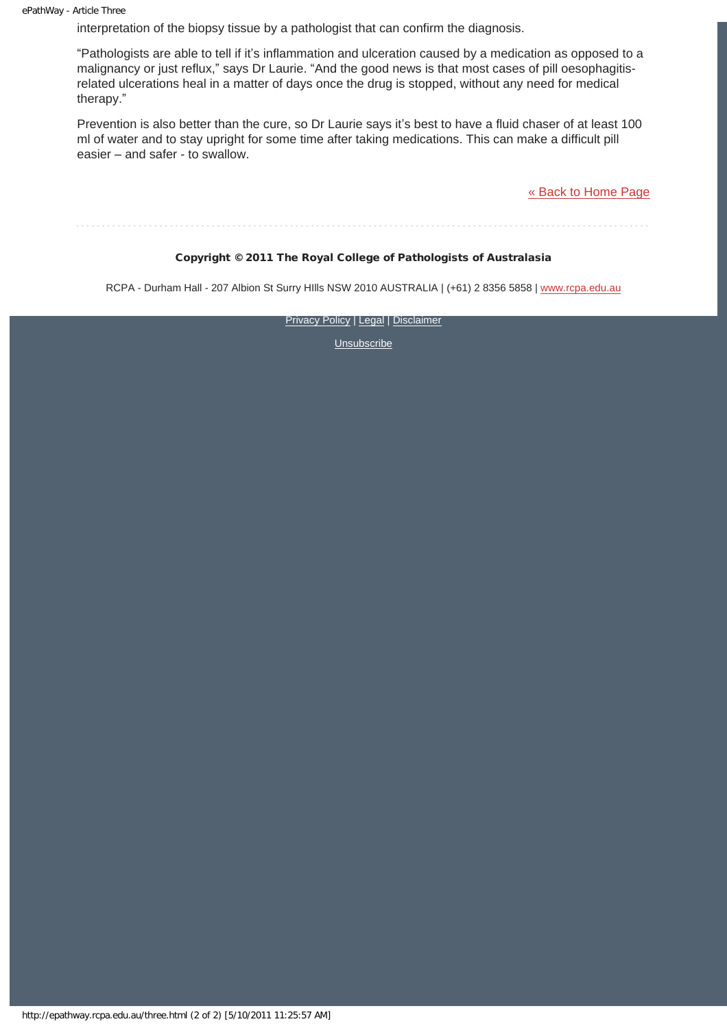interpretation of the biopsy tissue by a pathologist that can confirm the diagnosis.

"Pathologists are able to tell if it's inflammation and ulceration caused by a medication as opposed to a malignancy or just reflux," says Dr Laurie. "And the good news is that most cases of pill oesophagitisrelated ulcerations heal in a matter of days once the drug is stopped, without any need for medical therapy."

Prevention is also better than the cure, so Dr Laurie says it's best to have a fluid chaser of at least 100 ml of water and to stay upright for some time after taking medications. This can make a difficult pill easier – and safer - to swallow.

[« Back to Home Page](http://epathway.rcpa.edu.au/index.html)

#### Copyright © 2011 The Royal College of Pathologists of Australasia

RCPA - Durham Hall - 207 Albion St Surry Hills NSW 2010 AUSTRALIA | (+61) 2 8356 5858 | [www.rcpa.edu.au](http://www.rcpa.edu.au/)

**[Privacy Policy](http://www.rcpa.edu.au/Privacy.htm) | [Legal](http://www.rcpa.edu.au/Legal.htm) | [Disclaimer](http://www.rcpa.edu.au/Disclaimer.htm)**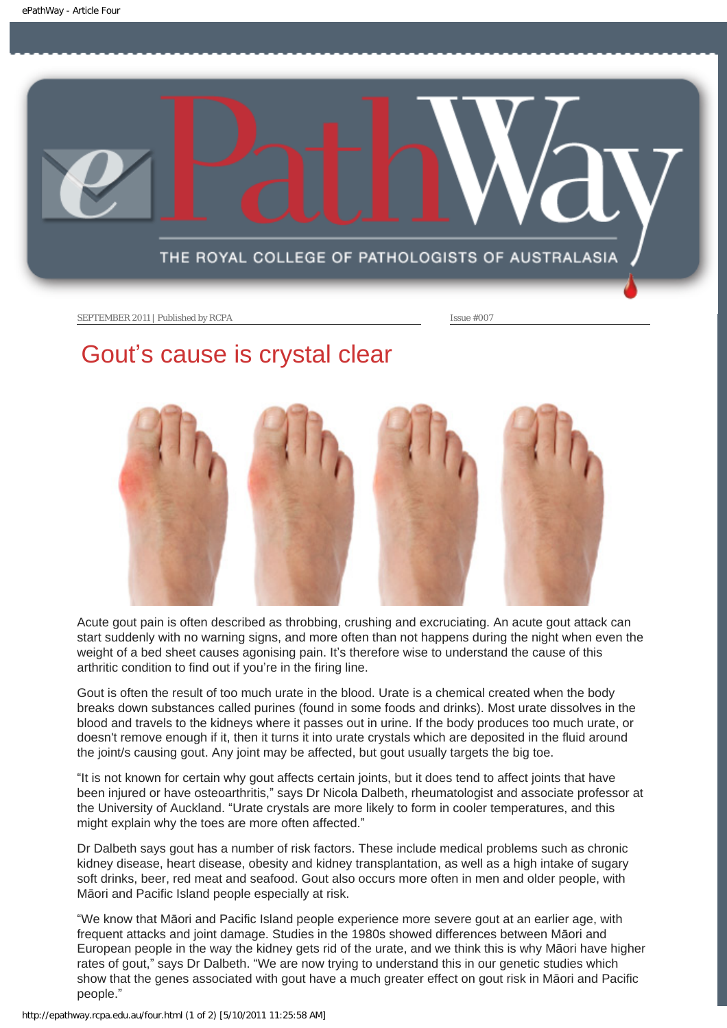

## Gout's cause is crystal clear



Acute gout pain is often described as throbbing, crushing and excruciating. An acute gout attack can start suddenly with no warning signs, and more often than not happens during the night when even the weight of a bed sheet causes agonising pain. It's therefore wise to understand the cause of this arthritic condition to find out if you're in the firing line.

Gout is often the result of too much urate in the blood. Urate is a chemical created when the body breaks down substances called purines (found in some foods and drinks). Most urate dissolves in the blood and travels to the kidneys where it passes out in urine. If the body produces too much urate, or doesn't remove enough if it, then it turns it into urate crystals which are deposited in the fluid around the joint/s causing gout. Any joint may be affected, but gout usually targets the big toe.

"It is not known for certain why gout affects certain joints, but it does tend to affect joints that have been injured or have osteoarthritis," says Dr Nicola Dalbeth, rheumatologist and associate professor at the University of Auckland. "Urate crystals are more likely to form in cooler temperatures, and this might explain why the toes are more often affected."

Dr Dalbeth says gout has a number of risk factors. These include medical problems such as chronic kidney disease, heart disease, obesity and kidney transplantation, as well as a high intake of sugary soft drinks, beer, red meat and seafood. Gout also occurs more often in men and older people, with Māori and Pacific Island people especially at risk.

"We know that Māori and Pacific Island people experience more severe gout at an earlier age, with frequent attacks and joint damage. Studies in the 1980s showed differences between Māori and European people in the way the kidney gets rid of the urate, and we think this is why Māori have higher rates of gout," says Dr Dalbeth. "We are now trying to understand this in our genetic studies which show that the genes associated with gout have a much greater effect on gout risk in Māori and Pacific people."